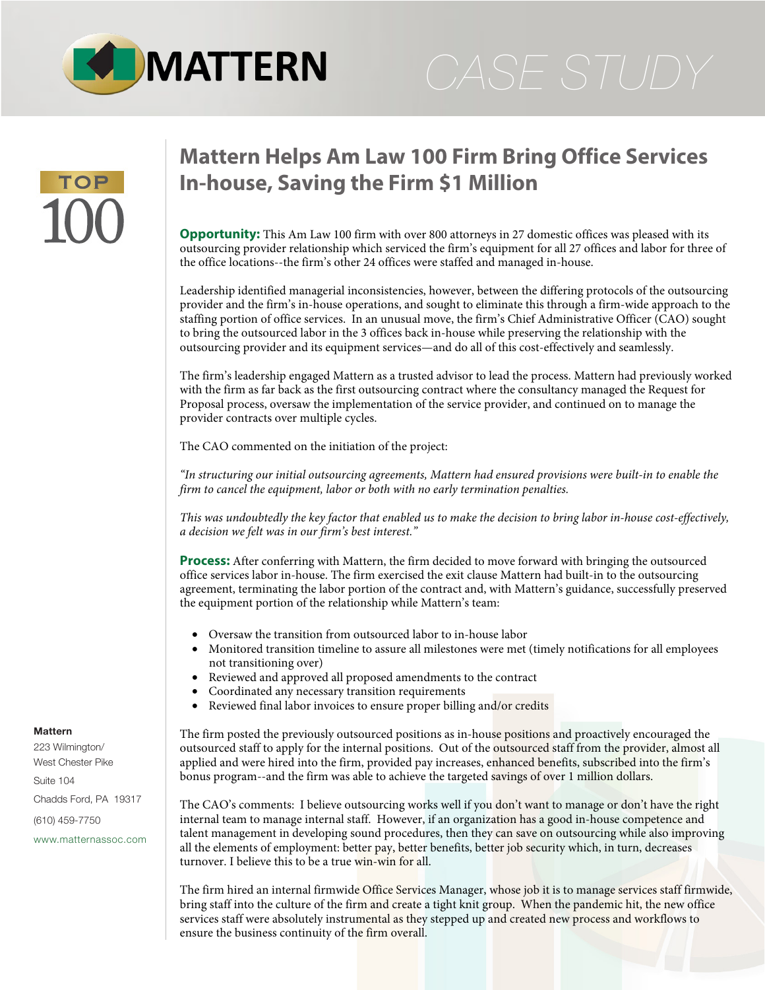

# **Mattern Helps Am Law 100 Firm Bring Office Services In-house, Saving the Firm \$1 Million**

**Opportunity:** This Am Law 100 firm with over 800 attorneys in 27 domestic offices was pleased with its outsourcing provider relationship which serviced the firm's equipment for all 27 offices and labor for three of the office locations--the firm's other 24 offices were staffed and managed in-house.

Leadership identified managerial inconsistencies, however, between the differing protocols of the outsourcing provider and the firm's in-house operations, and sought to eliminate this through a firm-wide approach to the staffing portion of office services. In an unusual move, the firm's Chief Administrative Officer (CAO) sought to bring the outsourced labor in the 3 offices back in-house while preserving the relationship with the outsourcing provider and its equipment services—and do all of this cost-effectively and seamlessly.

The firm's leadership engaged Mattern as a trusted advisor to lead the process. Mattern had previously worked with the firm as far back as the first outsourcing contract where the consultancy managed the Request for Proposal process, oversaw the implementation of the service provider, and continued on to manage the provider contracts over multiple cycles.

The CAO commented on the initiation of the project:

*"In structuring our initial outsourcing agreements, Mattern had ensured provisions were built-in to enable the firm to cancel the equipment, labor or both with no early termination penalties.* 

*This was undoubtedly the key factor that enabled us to make the decision to bring labor in-house cost-effectively, a decision we felt was in our firm's best interest."*

**Process:** After conferring with Mattern, the firm decided to move forward with bringing the outsourced office services labor in-house. The firm exercised the exit clause Mattern had built-in to the outsourcing agreement, terminating the labor portion of the contract and, with Mattern's guidance, successfully preserved the equipment portion of the relationship while Mattern's team:

- Oversaw the transition from outsourced labor to in-house labor
- Monitored transition timeline to assure all milestones were met (timely notifications for all employees not transitioning over)
- Reviewed and approved all proposed amendments to the contract
- Coordinated any necessary transition requirements
- Reviewed final labor invoices to ensure proper billing and/or credits

The firm posted the previously outsourced positions as in-house positions and proactively encouraged the outsourced staff to apply for the internal positions. Out of the outsourced staff from the provider, almost all applied and were hired into the firm, provided pay increases, enhanced benefits, subscribed into the firm's bonus program--and the firm was able to achieve the targeted savings of over 1 million dollars.

The CAO's comments: I believe outsourcing works well if you don't want to manage or don't have the right internal team to manage internal staff. However, if an organization has a good in-house competence and talent management in developing sound procedures, then they can save on outsourcing while also improving all the elements of employment: better pay, better benefits, better job security which, in turn, decreases turnover. I believe this to be a true win-win for all.

The firm hired an internal firmwide Office Services Manager, whose job it is to manage services staff firmwide, bring staff into the culture of the firm and create a tight knit group. When the pandemic hit, the new office services staff were absolutely instrumental as they stepped up and created new process and workflows to ensure the business continuity of the firm overall.

# **Mattern**

223 Wilmington/ West Chester Pike Suite 104 Chadds Ford, PA 19317 (610) 459-7750 [www.matternassoc.com](http://www.matternassoc.com)